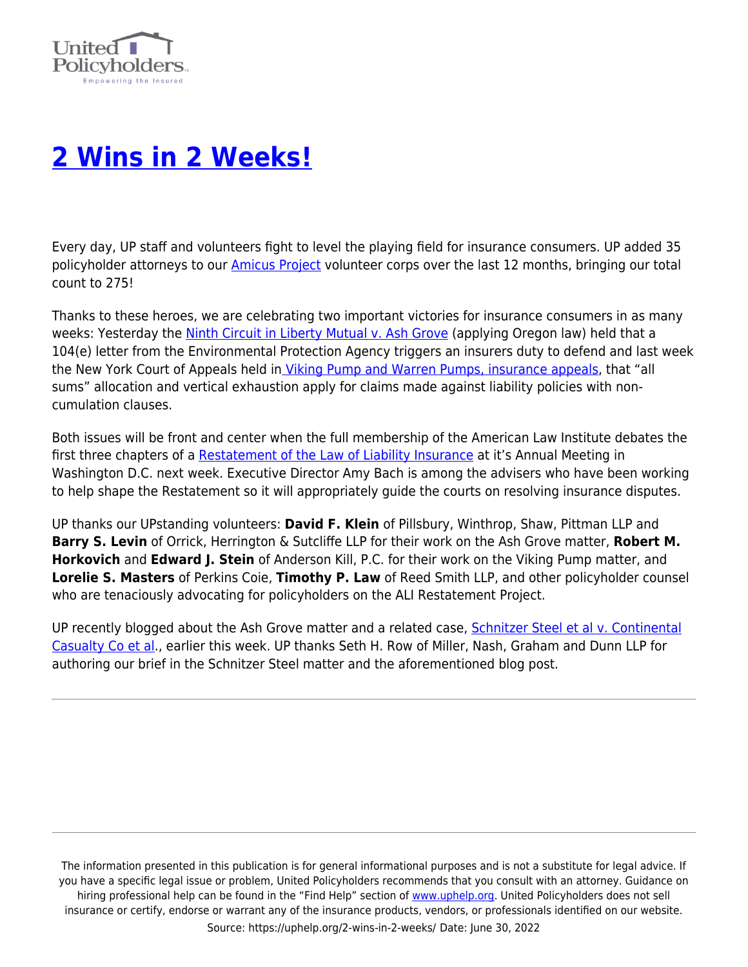

## **[2 Wins in 2 Weeks!](https://uphelp.org/2-wins-in-2-weeks/)**

Every day, UP staff and volunteers fight to level the playing field for insurance consumers. UP added 35 policyholder attorneys to our *Amicus Project* volunteer corps over the last 12 months, bringing our total count to 275!

Thanks to these heroes, we are celebrating two important victories for insurance consumers in as many weeks: Yesterday the [Ninth Circuit in Liberty Mutual v. Ash Grove](https://uphelp.org/amicus-briefs/liberty-mut-ins-co-v-ash-grove-cement-co/) (applying Oregon law) held that a 104(e) letter from the Environmental Protection Agency triggers an insurers duty to defend and last week the New York Court of Appeals held in [Viking Pump and Warren Pumps, insurance appeals](https://uphelp.org/amicus-briefs/in-the-matter-of-viking-pump-and-warren-pump-insurance-appeals/), that "all sums" allocation and vertical exhaustion apply for claims made against liability policies with noncumulation clauses.

Both issues will be front and center when the full membership of the American Law Institute debates the first three chapters of a [Restatement of the Law of Liability Insurance](https://uphelp.org/wp-content/uploads/2020/11/the_ali_principles-restatement_of_the_law_of_liability_insurance_part_iii.pdf) at it's Annual Meeting in Washington D.C. next week. Executive Director Amy Bach is among the advisers who have been working to help shape the Restatement so it will appropriately guide the courts on resolving insurance disputes.

UP thanks our UPstanding volunteers: **David F. Klein** of Pillsbury, Winthrop, Shaw, Pittman LLP and **Barry S. Levin** of Orrick, Herrington & Sutcliffe LLP for their work on the Ash Grove matter, **Robert M. Horkovich** and **Edward J. Stein** of Anderson Kill, P.C. for their work on the Viking Pump matter, and **Lorelie S. Masters** of Perkins Coie, **Timothy P. Law** of Reed Smith LLP, and other policyholder counsel who are tenaciously advocating for policyholders on the ALI Restatement Project.

UP recently blogged about the Ash Grove matter and a related case, [Schnitzer Steel et al v. Continental](https://uphelp.org/amicus-briefs/schnitzer-steel-et-al-v-continental-casualty-co-et-al/) [Casualty Co et al.](https://uphelp.org/amicus-briefs/schnitzer-steel-et-al-v-continental-casualty-co-et-al/), earlier this week. UP thanks Seth H. Row of Miller, Nash, Graham and Dunn LLP for authoring our brief in the Schnitzer Steel matter and the aforementioned blog post.

The information presented in this publication is for general informational purposes and is not a substitute for legal advice. If you have a specific legal issue or problem, United Policyholders recommends that you consult with an attorney. Guidance on hiring professional help can be found in the "Find Help" section of [www.uphelp.org.](http://www.uphelp.org/) United Policyholders does not sell insurance or certify, endorse or warrant any of the insurance products, vendors, or professionals identified on our website. Source: https://uphelp.org/2-wins-in-2-weeks/ Date: June 30, 2022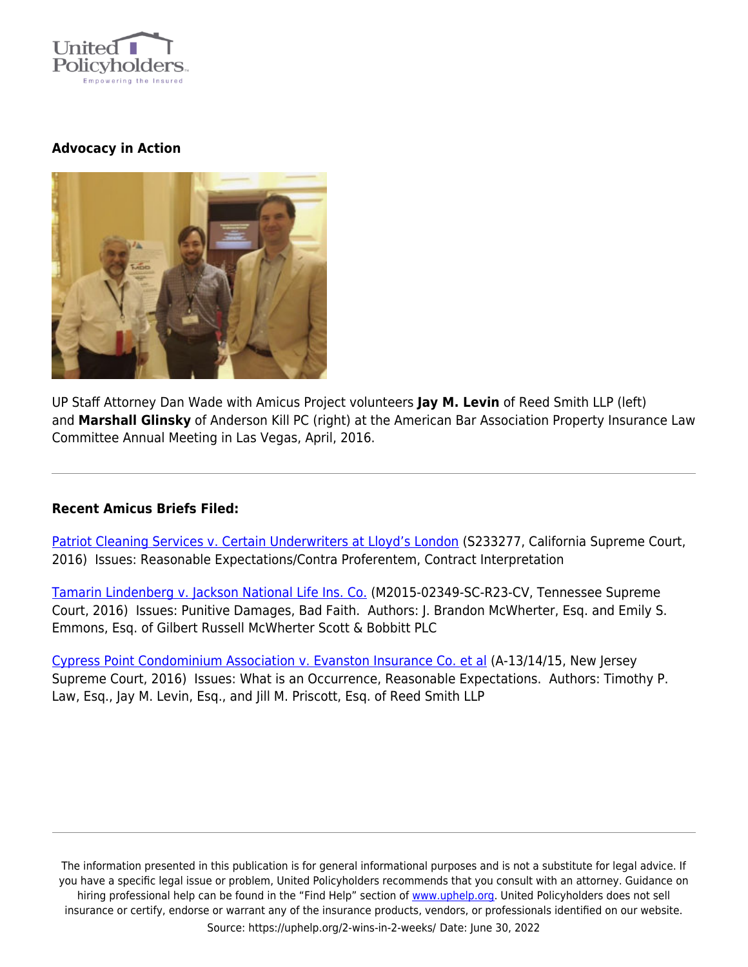

## **Advocacy in Action**



UP Staff Attorney Dan Wade with Amicus Project volunteers **Jay M. Levin** of Reed Smith LLP (left) and **Marshall Glinsky** of Anderson Kill PC (right) at the American Bar Association Property Insurance Law Committee Annual Meeting in Las Vegas, April, 2016.

## **Recent Amicus Briefs Filed:**

[Patriot Cleaning Services v. Certain Underwriters at Lloyd's London](https://uphelp.org/amicus-briefs/patriot-cleaning-services-v-certain-underwriters-at-lloyds-london/) (S233277, California Supreme Court, 2016) Issues: Reasonable Expectations/Contra Proferentem, Contract Interpretation

[Tamarin Lindenberg v. Jackson National Life Ins. Co.](https://uphelp.org/amicus-briefs/tamarin-lindenberg-v-jackson-national-life-ins-co/) (M2015-02349-SC-R23-CV, Tennessee Supreme Court, 2016) Issues: Punitive Damages, Bad Faith. Authors: J. Brandon McWherter, Esq. and Emily S. Emmons, Esq. of Gilbert Russell McWherter Scott & Bobbitt PLC

[Cypress Point Condominium Association v. Evanston Insurance Co. et al](https://uphelp.org/amicus-briefs/cypress-point-condominium-association-v-evanston-insurance-co-et-al/) (A-13/14/15, New Jersey Supreme Court, 2016) Issues: What is an Occurrence, Reasonable Expectations. Authors: Timothy P. Law, Esq., Jay M. Levin, Esq., and Jill M. Priscott, Esq. of Reed Smith LLP

The information presented in this publication is for general informational purposes and is not a substitute for legal advice. If you have a specific legal issue or problem, United Policyholders recommends that you consult with an attorney. Guidance on hiring professional help can be found in the "Find Help" section of [www.uphelp.org.](http://www.uphelp.org/) United Policyholders does not sell insurance or certify, endorse or warrant any of the insurance products, vendors, or professionals identified on our website. Source: https://uphelp.org/2-wins-in-2-weeks/ Date: June 30, 2022